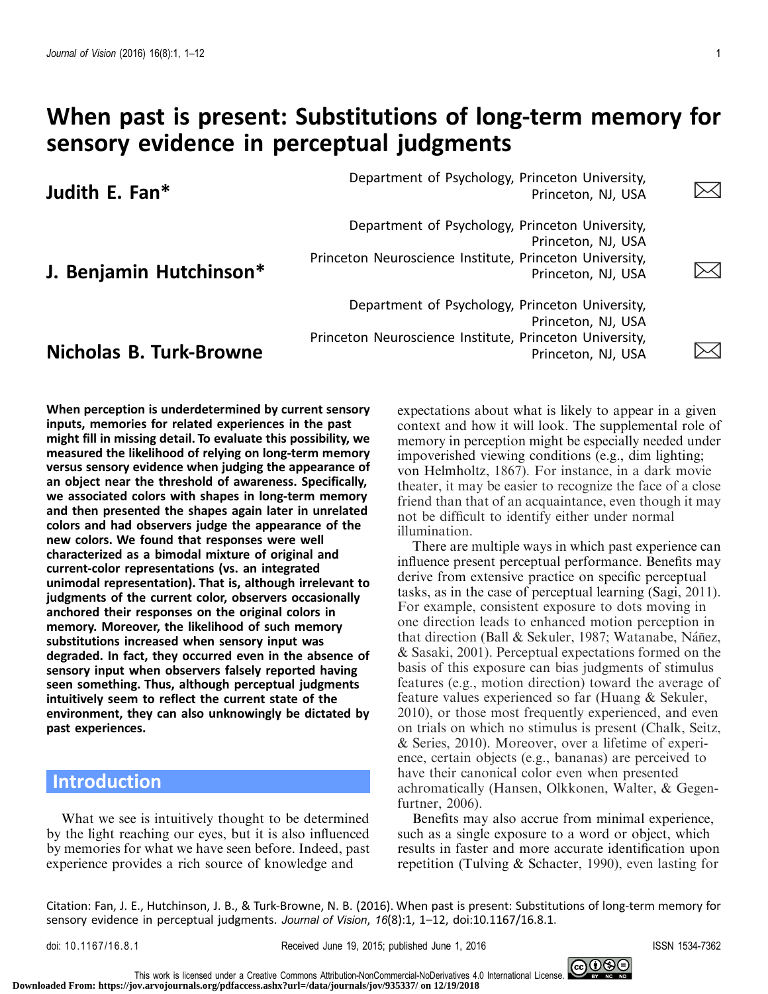# When past is present: Substitutions of long-term memory for sensory evidence in perceptual judgments

Judith E. Fan[\\*](#page-9-0) [\\$](mailto:jefan@princeton.edu) Department of Psychology, Princeton University, Princeton, NJ, USA

**J. Benjamin Hutchinso[n\\*](#page-9-0)**  $\sum_{\text{Princeton, NJ, USA}}$ Department of Psychology, Princeton University, Princeton, NJ, USA Princeton Neuroscience Institute, Princeton University, Princeton, NJ, USA

 $\mathsf{Nicholas}\ \mathsf{B}$ . Turk-Browne  $\mathsf{NLA}$ Department of Psychology, Princeton University, Princeton, NJ, USA Princeton Neuroscience Institute, Princeton University, Princeton, NJ, USA

When perception is underdetermined by current sensory inputs, memories for related experiences in the past might fill in missing detail. To evaluate this possibility, we measured the likelihood of relying on long-term memory versus sensory evidence when judging the appearance of an object near the threshold of awareness. Specifically, we associated colors with shapes in long-term memory and then presented the shapes again later in unrelated colors and had observers judge the appearance of the new colors. We found that responses were well characterized as a bimodal mixture of original and current-color representations (vs. an integrated unimodal representation). That is, although irrelevant to judgments of the current color, observers occasionally anchored their responses on the original colors in memory. Moreover, the likelihood of such memory substitutions increased when sensory input was degraded. In fact, they occurred even in the absence of sensory input when observers falsely reported having seen something. Thus, although perceptual judgments intuitively seem to reflect the current state of the environment, they can also unknowingly be dictated by past experiences.

## Introduction

What we see is intuitively thought to be determined by the light reaching our eyes, but it is also influenced by memories for what we have seen before. Indeed, past experience provides a rich source of knowledge and

expectations about what is likely to appear in a given context and how it will look. The supplemental role of memory in perception might be especially needed under impoverished viewing conditions (e.g., dim lighting; von Helmholtz, [1867\)](#page-10-0). For instance, in a dark movie theater, it may be easier to recognize the face of a close friend than that of an acquaintance, even though it may not be difficult to identify either under normal illumination.

There are multiple ways in which past experience can influence present perceptual performance. Benefits may derive from extensive practice on specific perceptual tasks, as in the case of perceptual learning (Sagi, [2011](#page-10-0)). For example, consistent exposure to dots moving in one direction leads to enhanced motion perception in that direction (Ball & Sekuler, [1987](#page-9-0); Watanabe, Náñez, & Sasaki, [2001](#page-10-0)). Perceptual expectations formed on the basis of this exposure can bias judgments of stimulus features (e.g., motion direction) toward the average of feature values experienced so far (Huang & Sekuler, [2010\)](#page-10-0), or those most frequently experienced, and even on trials on which no stimulus is present (Chalk, Seitz, & Series, [2010\)](#page-10-0). Moreover, over a lifetime of experience, certain objects (e.g., bananas) are perceived to have their canonical color even when presented achromatically (Hansen, Olkkonen, Walter, & Gegenfurtner, [2006](#page-10-0)).

Benefits may also accrue from minimal experience, such as a single exposure to a word or object, which results in faster and more accurate identification upon repetition (Tulving & Schacter, [1990\)](#page-10-0), even lasting for

௵

Citation: Fan, J. E., Hutchinson, J. B., & Turk-Browne, N. B. (2016). When past is present: Substitutions of long-term memory for sensory evidence in perceptual judgments. Journal of Vision, 16(8):1, 1–12, doi:10.1167/16.8.1.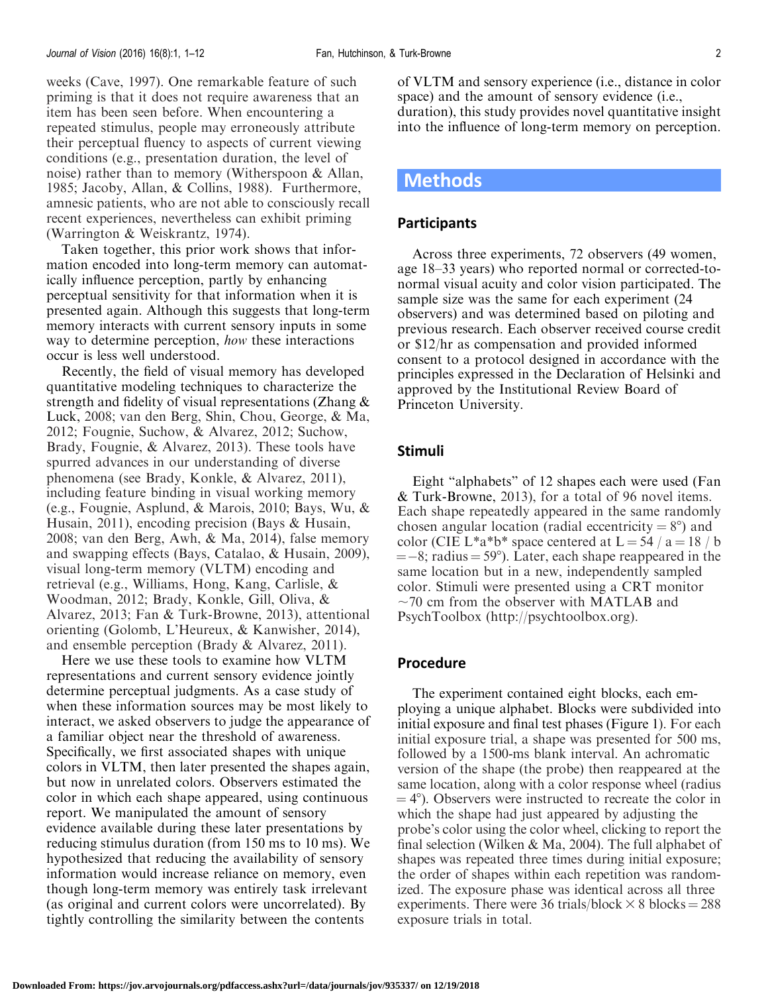weeks (Cave, [1997](#page-10-0)). One remarkable feature of such priming is that it does not require awareness that an item has been seen before. When encountering a repeated stimulus, people may erroneously attribute their perceptual fluency to aspects of current viewing conditions (e.g., presentation duration, the level of noise) rather than to memory (Witherspoon & Allan, [1985;](#page-11-0) Jacoby, Allan, & Collins, [1988\)](#page-10-0). Furthermore, amnesic patients, who are not able to consciously recall recent experiences, nevertheless can exhibit priming (Warrington & Weiskrantz, [1974\)](#page-10-0).

Taken together, this prior work shows that information encoded into long-term memory can automatically influence perception, partly by enhancing perceptual sensitivity for that information when it is presented again. Although this suggests that long-term memory interacts with current sensory inputs in some way to determine perception, how these interactions occur is less well understood.

Recently, the field of visual memory has developed quantitative modeling techniques to characterize the strength and fidelity of visual representations (Zhang & Luck, [2008](#page-11-0); van den Berg, Shin, Chou, George, & Ma, [2012;](#page-10-0) Fougnie, Suchow, & Alvarez, [2012](#page-10-0); Suchow, Brady, Fougnie, & Alvarez, [2013](#page-10-0)). These tools have spurred advances in our understanding of diverse phenomena (see Brady, Konkle, & Alvarez, [2011](#page-10-0)), including feature binding in visual working memory (e.g., Fougnie, Asplund, & Marois, [2010](#page-10-0); Bays, Wu, & Husain, [2011](#page-10-0)), encoding precision (Bays & Husain, [2008;](#page-10-0) van den Berg, Awh, & Ma, [2014\)](#page-10-0), false memory and swapping effects (Bays, Catalao, & Husain, [2009](#page-9-0)), visual long-term memory (VLTM) encoding and retrieval (e.g., Williams, Hong, Kang, Carlisle, & Woodman, [2012](#page-11-0); Brady, Konkle, Gill, Oliva, & Alvarez, [2013;](#page-10-0) Fan & Turk-Browne, [2013](#page-10-0)), attentional orienting (Golomb, L'Heureux, & Kanwisher, [2014\)](#page-10-0), and ensemble perception (Brady & Alvarez, [2011](#page-10-0)).

Here we use these tools to examine how VLTM representations and current sensory evidence jointly determine perceptual judgments. As a case study of when these information sources may be most likely to interact, we asked observers to judge the appearance of a familiar object near the threshold of awareness. Specifically, we first associated shapes with unique colors in VLTM, then later presented the shapes again, but now in unrelated colors. Observers estimated the color in which each shape appeared, using continuous report. We manipulated the amount of sensory evidence available during these later presentations by reducing stimulus duration (from 150 ms to 10 ms). We hypothesized that reducing the availability of sensory information would increase reliance on memory, even though long-term memory was entirely task irrelevant (as original and current colors were uncorrelated). By tightly controlling the similarity between the contents

of VLTM and sensory experience (i.e., distance in color space) and the amount of sensory evidence (i.e., duration), this study provides novel quantitative insight into the influence of long-term memory on perception.

### Methods

#### Participants

Across three experiments, 72 observers (49 women, age 18–33 years) who reported normal or corrected-tonormal visual acuity and color vision participated. The sample size was the same for each experiment (24 observers) and was determined based on piloting and previous research. Each observer received course credit or \$12/hr as compensation and provided informed consent to a protocol designed in accordance with the principles expressed in the Declaration of Helsinki and approved by the Institutional Review Board of Princeton University.

#### Stimuli

Eight ''alphabets'' of 12 shapes each were used (Fan & Turk-Browne, [2013](#page-10-0)), for a total of 96 novel items. Each shape repeatedly appeared in the same randomly chosen angular location (radial eccentricity  $= 8^{\circ}$ ) and color (CIE L\*a\*b\* space centered at  $L = 54 / a = 18 / b$  $=$  -8; radius  $=$  59 $^{\circ}$ ). Later, each shape reappeared in the same location but in a new, independently sampled color. Stimuli were presented using a CRT monitor  $\sim$ 70 cm from the observer with MATLAB and PsychToolbox [\(http://psychtoolbox.org](http://psychtoolbox.org)).

### Procedure

The experiment contained eight blocks, each employing a unique alphabet. Blocks were subdivided into initial exposure and final test phases [\(Figure 1](#page-2-0)). For each initial exposure trial, a shape was presented for 500 ms, followed by a 1500-ms blank interval. An achromatic version of the shape (the probe) then reappeared at the same location, along with a color response wheel (radius  $=$  4 $\degree$ ). Observers were instructed to recreate the color in which the shape had just appeared by adjusting the probe's color using the color wheel, clicking to report the final selection (Wilken & Ma, [2004](#page-11-0)). The full alphabet of shapes was repeated three times during initial exposure; the order of shapes within each repetition was randomized. The exposure phase was identical across all three experiments. There were 36 trials/block  $\times$  8 blocks = 288 exposure trials in total.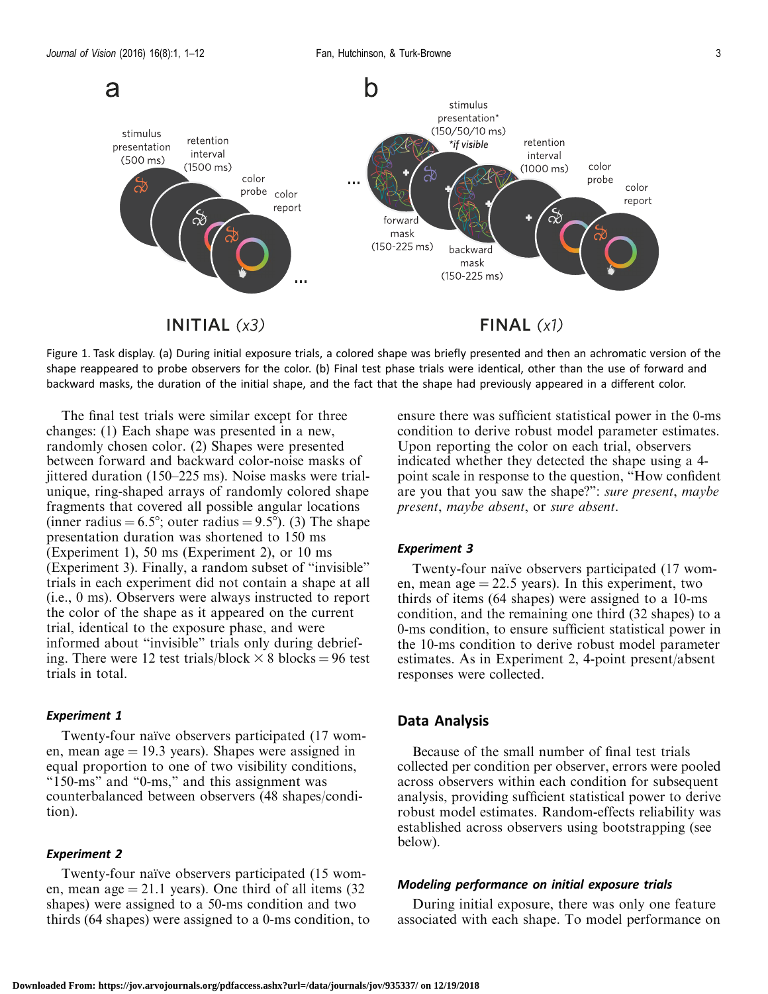<span id="page-2-0"></span>

Figure 1. Task display. (a) During initial exposure trials, a colored shape was briefly presented and then an achromatic version of the shape reappeared to probe observers for the color. (b) Final test phase trials were identical, other than the use of forward and backward masks, the duration of the initial shape, and the fact that the shape had previously appeared in a different color.

The final test trials were similar except for three changes: (1) Each shape was presented in a new, randomly chosen color. (2) Shapes were presented between forward and backward color-noise masks of jittered duration (150–225 ms). Noise masks were trialunique, ring-shaped arrays of randomly colored shape fragments that covered all possible angular locations (inner radius  $= 6.5^{\circ}$ ; outer radius  $= 9.5^{\circ}$ ). (3) The shape presentation duration was shortened to 150 ms (Experiment 1), 50 ms (Experiment 2), or 10 ms (Experiment 3). Finally, a random subset of ''invisible'' trials in each experiment did not contain a shape at all (i.e., 0 ms). Observers were always instructed to report the color of the shape as it appeared on the current trial, identical to the exposure phase, and were informed about ''invisible'' trials only during debriefing. There were 12 test trials/block  $\times$  8 blocks = 96 test trials in total.

#### Experiment 1

Twenty-four naïve observers participated (17 women, mean age  $= 19.3$  years). Shapes were assigned in equal proportion to one of two visibility conditions, ''150-ms'' and ''0-ms,'' and this assignment was counterbalanced between observers (48 shapes/condition).

#### Experiment 2

Twenty-four naïve observers participated (15 women, mean age  $= 21.1$  years). One third of all items (32) shapes) were assigned to a 50-ms condition and two thirds (64 shapes) were assigned to a 0-ms condition, to ensure there was sufficient statistical power in the 0-ms condition to derive robust model parameter estimates. Upon reporting the color on each trial, observers indicated whether they detected the shape using a 4 point scale in response to the question, ''How confident are you that you saw the shape?'': sure present, maybe present, maybe absent, or sure absent.

#### Experiment 3

Twenty-four naïve observers participated (17 women, mean age  $= 22.5$  years). In this experiment, two thirds of items (64 shapes) were assigned to a 10-ms condition, and the remaining one third (32 shapes) to a 0-ms condition, to ensure sufficient statistical power in the 10-ms condition to derive robust model parameter estimates. As in Experiment 2, 4-point present/absent responses were collected.

#### Data Analysis

Because of the small number of final test trials collected per condition per observer, errors were pooled across observers within each condition for subsequent analysis, providing sufficient statistical power to derive robust model estimates. Random-effects reliability was established across observers using bootstrapping (see below).

#### Modeling performance on initial exposure trials

During initial exposure, there was only one feature associated with each shape. To model performance on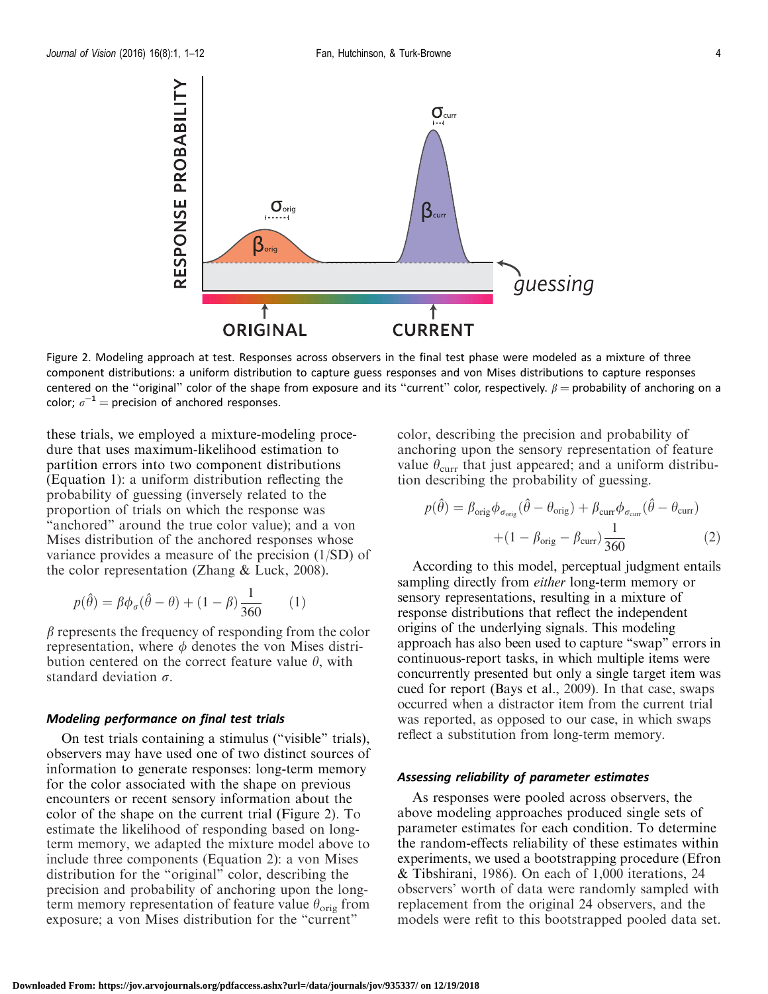<span id="page-3-0"></span>

Figure 2. Modeling approach at test. Responses across observers in the final test phase were modeled as a mixture of three component distributions: a uniform distribution to capture guess responses and von Mises distributions to capture responses centered on the "original" color of the shape from exposure and its "current" color, respectively.  $\beta$  = probability of anchoring on a color;  $\sigma^{-1}$  = precision of anchored responses.

these trials, we employed a mixture-modeling procedure that uses maximum-likelihood estimation to partition errors into two component distributions (Equation 1): a uniform distribution reflecting the probability of guessing (inversely related to the proportion of trials on which the response was "anchored" around the true color value); and a von Mises distribution of the anchored responses whose variance provides a measure of the precision (1/SD) of the color representation (Zhang & Luck, [2008\)](#page-11-0).

$$
p(\hat{\theta}) = \beta \phi_{\sigma}(\hat{\theta} - \theta) + (1 - \beta) \frac{1}{360} \qquad (1)
$$

 $\beta$  represents the frequency of responding from the color representation, where  $\phi$  denotes the von Mises distribution centered on the correct feature value  $\theta$ , with standard deviation  $\sigma$ .

#### Modeling performance on final test trials

On test trials containing a stimulus (''visible'' trials), observers may have used one of two distinct sources of information to generate responses: long-term memory for the color associated with the shape on previous encounters or recent sensory information about the color of the shape on the current trial (Figure 2). To estimate the likelihood of responding based on longterm memory, we adapted the mixture model above to include three components (Equation 2): a von Mises distribution for the ''original'' color, describing the precision and probability of anchoring upon the longterm memory representation of feature value  $\theta_{\text{orig}}$  from exposure; a von Mises distribution for the ''current''

color, describing the precision and probability of anchoring upon the sensory representation of feature value  $\theta_{\text{curr}}$  that just appeared; and a uniform distribution describing the probability of guessing.

$$
p(\hat{\theta}) = \beta_{\text{orig}} \phi_{\sigma_{\text{orig}}}(\hat{\theta} - \theta_{\text{orig}}) + \beta_{\text{curr}} \phi_{\sigma_{\text{curr}}}(\hat{\theta} - \theta_{\text{curr}})
$$

$$
+ (1 - \beta_{\text{orig}} - \beta_{\text{curr}}) \frac{1}{360} \tag{2}
$$

According to this model, perceptual judgment entails sampling directly from *either* long-term memory or sensory representations, resulting in a mixture of response distributions that reflect the independent origins of the underlying signals. This modeling approach has also been used to capture ''swap'' errors in continuous-report tasks, in which multiple items were concurrently presented but only a single target item was cued for report (Bays et al., [2009](#page-9-0)). In that case, swaps occurred when a distractor item from the current trial was reported, as opposed to our case, in which swaps reflect a substitution from long-term memory.

#### Assessing reliability of parameter estimates

As responses were pooled across observers, the above modeling approaches produced single sets of parameter estimates for each condition. To determine the random-effects reliability of these estimates within experiments, we used a bootstrapping procedure (Efron & Tibshirani, [1986\)](#page-10-0). On each of 1,000 iterations, 24 observers' worth of data were randomly sampled with replacement from the original 24 observers, and the models were refit to this bootstrapped pooled data set.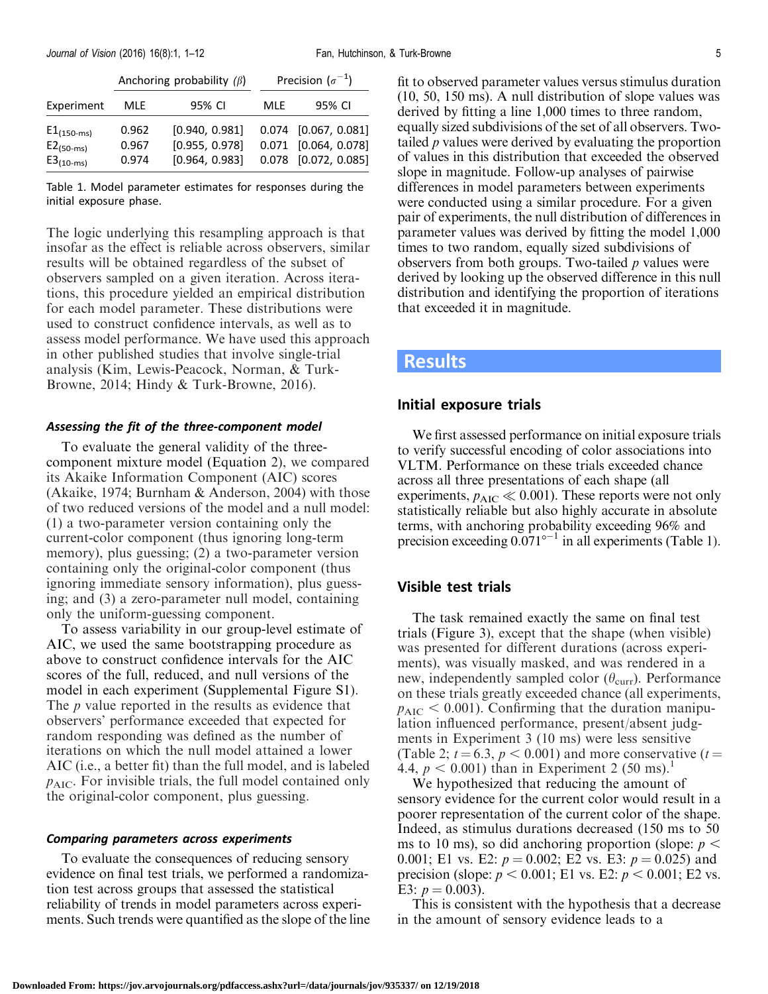<span id="page-4-0"></span>

|                                                 |                | Anchoring probability $(\beta)$  | Precision $(\sigma^{-1})$ |                                                |  |
|-------------------------------------------------|----------------|----------------------------------|---------------------------|------------------------------------------------|--|
| Experiment                                      | <b>MLE</b>     | 95% CI                           | MI F                      | 95% CI                                         |  |
| $E1_{(150\text{-ms})}$<br>$E2_{(50\text{-}ms)}$ | 0.962<br>0.967 | [0.940, 0.981]<br>[0.955, 0.978] |                           | $0.074$ [0.067, 0.081]<br>0.071 [0.064, 0.078] |  |
| $E3_{(10\text{-ms})}$                           | 0.974          | [0.964, 0.983]                   |                           | 0.078 [0.072, 0.085]                           |  |

Table 1. Model parameter estimates for responses during the initial exposure phase.

The logic underlying this resampling approach is that insofar as the effect is reliable across observers, similar results will be obtained regardless of the subset of observers sampled on a given iteration. Across iterations, this procedure yielded an empirical distribution for each model parameter. These distributions were used to construct confidence intervals, as well as to assess model performance. We have used this approach in other published studies that involve single-trial analysis (Kim, Lewis-Peacock, Norman, & Turk-Browne, [2014;](#page-10-0) Hindy & Turk-Browne, [2016\)](#page-10-0).

#### Assessing the fit of the three-component model

To evaluate the general validity of the threecomponent mixture model [\(Equation 2\)](#page-3-0), we compared its Akaike Information Component (AIC) scores (Akaike, [1974](#page-9-0); Burnham & Anderson, [2004](#page-10-0)) with those of two reduced versions of the model and a null model: (1) a two-parameter version containing only the current-color component (thus ignoring long-term memory), plus guessing; (2) a two-parameter version containing only the original-color component (thus ignoring immediate sensory information), plus guessing; and (3) a zero-parameter null model, containing only the uniform-guessing component.

To assess variability in our group-level estimate of AIC, we used the same bootstrapping procedure as above to construct confidence intervals for the AIC scores of the full, reduced, and null versions of the model in each experiment ([Supplemental Figure S1](http://jov.arvojournals.org/data/Journals/JOV/935337/i1534-7362-16-8-1-s01.docx)). The *p* value reported in the results as evidence that observers' performance exceeded that expected for random responding was defined as the number of iterations on which the null model attained a lower AIC (i.e., a better fit) than the full model, and is labeled  $p_{AIC}$ . For invisible trials, the full model contained only the original-color component, plus guessing.

#### Comparing parameters across experiments

To evaluate the consequences of reducing sensory evidence on final test trials, we performed a randomization test across groups that assessed the statistical reliability of trends in model parameters across experiments. Such trends were quantified as the slope of the line fit to observed parameter values versus stimulus duration (10, 50, 150 ms). A null distribution of slope values was derived by fitting a line 1,000 times to three random, equally sized subdivisions of the set of all observers. Twotailed  $p$  values were derived by evaluating the proportion of values in this distribution that exceeded the observed slope in magnitude. Follow-up analyses of pairwise differences in model parameters between experiments were conducted using a similar procedure. For a given pair of experiments, the null distribution of differences in parameter values was derived by fitting the model 1,000 times to two random, equally sized subdivisions of observers from both groups. Two-tailed  $p$  values were derived by looking up the observed difference in this null distribution and identifying the proportion of iterations that exceeded it in magnitude.

### Results

#### Initial exposure trials

We first assessed performance on initial exposure trials to verify successful encoding of color associations into VLTM. Performance on these trials exceeded chance across all three presentations of each shape (all experiments,  $p_{AIC} \ll 0.001$ ). These reports were not only statistically reliable but also highly accurate in absolute terms, with anchoring probability exceeding 96% and precision exceeding  $0.071^{\circ -1}$  in all experiments (Table 1).

### Visible test trials

The task remained exactly the same on final test trials ([Figure 3\)](#page-5-0), except that the shape (when visible) was presented for different durations (across experiments), was visually masked, and was rendered in a new, independently sampled color  $(\theta_{\text{curr}})$ . Performance on these trials greatly exceeded chance (all experiments,  $p_{AIC}$  < 0.001). Confirming that the duration manipulation influenced performance, present/absent judgments in Experiment 3 (10 ms) were less sensitive ([Table 2;](#page-5-0)  $t = 6.3$ ,  $p < 0.001$ ) and more conservative ( $t =$ 4.4,  $p < 0.001$  $p < 0.001$ ) than in Experiment 2 (50 ms).<sup>1</sup>

We hypothesized that reducing the amount of sensory evidence for the current color would result in a poorer representation of the current color of the shape. Indeed, as stimulus durations decreased (150 ms to 50 ms to 10 ms), so did anchoring proportion (slope:  $p <$ 0.001; E1 vs. E2:  $p = 0.002$ ; E2 vs. E3:  $p = 0.025$ ) and precision (slope:  $p < 0.001$ ; E1 vs. E2:  $p < 0.001$ ; E2 vs. E3:  $p = 0.003$ ).

This is consistent with the hypothesis that a decrease in the amount of sensory evidence leads to a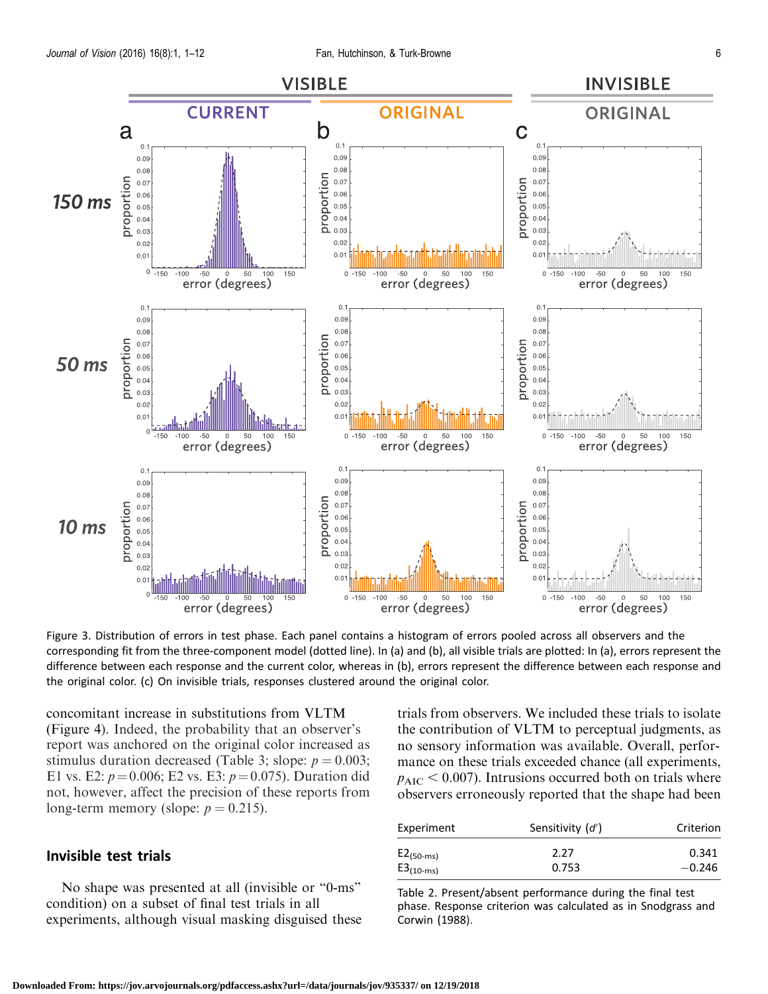<span id="page-5-0"></span>

Figure 3. Distribution of errors in test phase. Each panel contains a histogram of errors pooled across all observers and the corresponding fit from the three-component model (dotted line). In (a) and (b), all visible trials are plotted: In (a), errors represent the difference between each response and the current color, whereas in (b), errors represent the difference between each response and the original color. (c) On invisible trials, responses clustered around the original color.

concomitant increase in substitutions from VLTM ([Figure 4\)](#page-6-0). Indeed, the probability that an observer's report was anchored on the original color increased as stimulus duration decreased ([Table 3](#page-6-0); slope:  $p = 0.003$ ; E1 vs. E2:  $p = 0.006$ ; E2 vs. E3:  $p = 0.075$ ). Duration did not, however, affect the precision of these reports from long-term memory (slope:  $p = 0.215$ ).

### Invisible test trials

No shape was presented at all (invisible or ''0-ms'' condition) on a subset of final test trials in all experiments, although visual masking disguised these trials from observers. We included these trials to isolate the contribution of VLTM to perceptual judgments, as no sensory information was available. Overall, performance on these trials exceeded chance (all experiments,  $p_{\text{AIC}}$  < 0.007). Intrusions occurred both on trials where observers erroneously reported that the shape had been

| Experiment            | Sensitivity $(d')$ | Criterion |  |
|-----------------------|--------------------|-----------|--|
| $E2_{(50\text{-ms})}$ | 2.27               | 0.341     |  |
| $E3_{(10\text{-ms})}$ | 0.753              | $-0.246$  |  |

Table 2. Present/absent performance during the final test phase. Response criterion was calculated as in Snodgrass and Corwin (1988).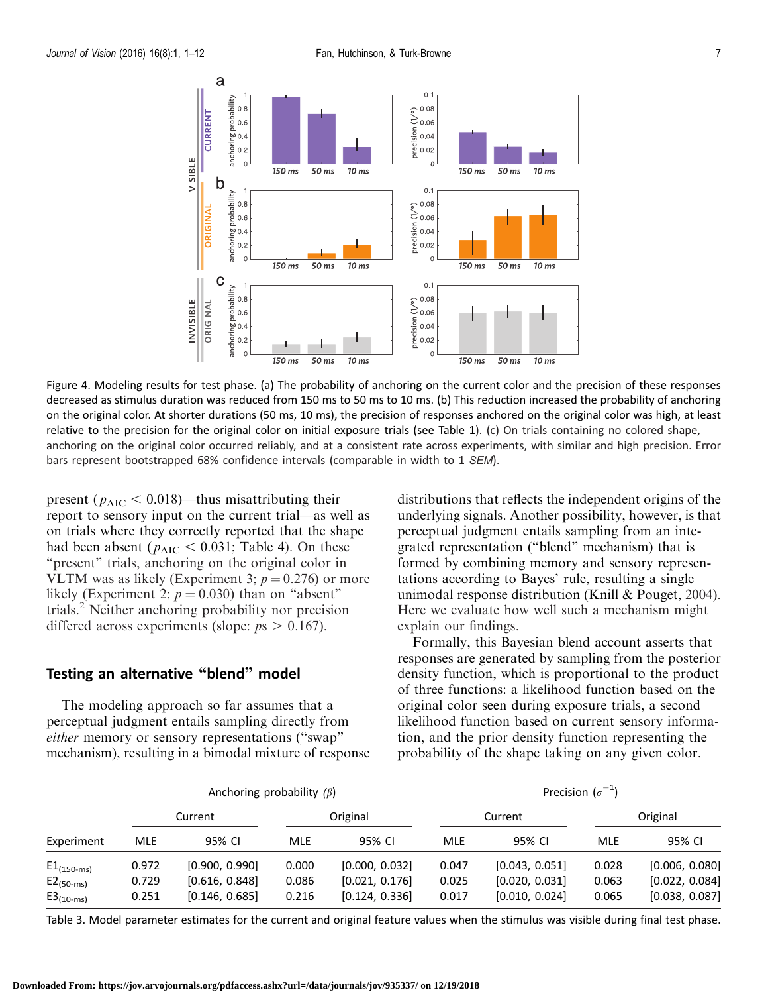<span id="page-6-0"></span>

Figure 4. Modeling results for test phase. (a) The probability of anchoring on the current color and the precision of these responses decreased as stimulus duration was reduced from 150 ms to 50 ms to 10 ms. (b) This reduction increased the probability of anchoring on the original color. At shorter durations (50 ms, 10 ms), the precision of responses anchored on the original color was high, at least relative to the precision for the original color on initial exposure trials (see [Table 1](#page-4-0)). (c) On trials containing no colored shape, anchoring on the original color occurred reliably, and at a consistent rate across experiments, with similar and high precision. Error bars represent bootstrapped 68% confidence intervals (comparable in width to 1 SEM).

present ( $p_{AIC}$  < 0.018)—thus misattributing their report to sensory input on the current trial—as well as on trials where they correctly reported that the shape had been absent ( $p_{AIC}$  < 0.031; [Table 4\)](#page-7-0). On these "present" trials, anchoring on the original color in VLTM was as likely (Experiment 3;  $p = 0.276$ ) or more likely (Experiment 2;  $p = 0.030$ ) than on "absent" trials[.2](#page-9-0) Neither anchoring probability nor precision differed across experiments (slope:  $ps > 0.167$ ).

#### Testing an alternative "blend" model

The modeling approach so far assumes that a perceptual judgment entails sampling directly from either memory or sensory representations (''swap'' mechanism), resulting in a bimodal mixture of response distributions that reflects the independent origins of the underlying signals. Another possibility, however, is that perceptual judgment entails sampling from an integrated representation (''blend'' mechanism) that is formed by combining memory and sensory representations according to Bayes' rule, resulting a single unimodal response distribution (Knill & Pouget, [2004](#page-10-0)). Here we evaluate how well such a mechanism might explain our findings.

Formally, this Bayesian blend account asserts that responses are generated by sampling from the posterior density function, which is proportional to the product of three functions: a likelihood function based on the original color seen during exposure trials, a second likelihood function based on current sensory information, and the prior density function representing the probability of the shape taking on any given color.

|                        |            | Anchoring probability $(\beta)$ |            |                |            | Precision $(\sigma^{-1})$ |            |                |  |
|------------------------|------------|---------------------------------|------------|----------------|------------|---------------------------|------------|----------------|--|
|                        | Current    |                                 | Original   |                | Current    |                           | Original   |                |  |
| Experiment             | <b>MLE</b> | 95% CI                          | <b>MLE</b> | 95% CI         | <b>MLE</b> | 95% CI                    | <b>MLE</b> | 95% CI         |  |
| $E1_{(150\text{-ms})}$ | 0.972      | [0.900, 0.990]                  | 0.000      | [0.000, 0.032] | 0.047      | [0.043, 0.051]            | 0.028      | [0.006, 0.080] |  |
| $E2_{(50\text{-}ms)}$  | 0.729      | [0.616, 0.848]                  | 0.086      | [0.021, 0.176] | 0.025      | [0.020, 0.031]            | 0.063      | [0.022, 0.084] |  |
| $E3_{(10\text{-ms})}$  | 0.251      | [0.146, 0.685]                  | 0.216      | [0.124, 0.336] | 0.017      | [0.010, 0.024]            | 0.065      | [0.038, 0.087] |  |

Table 3. Model parameter estimates for the current and original feature values when the stimulus was visible during final test phase.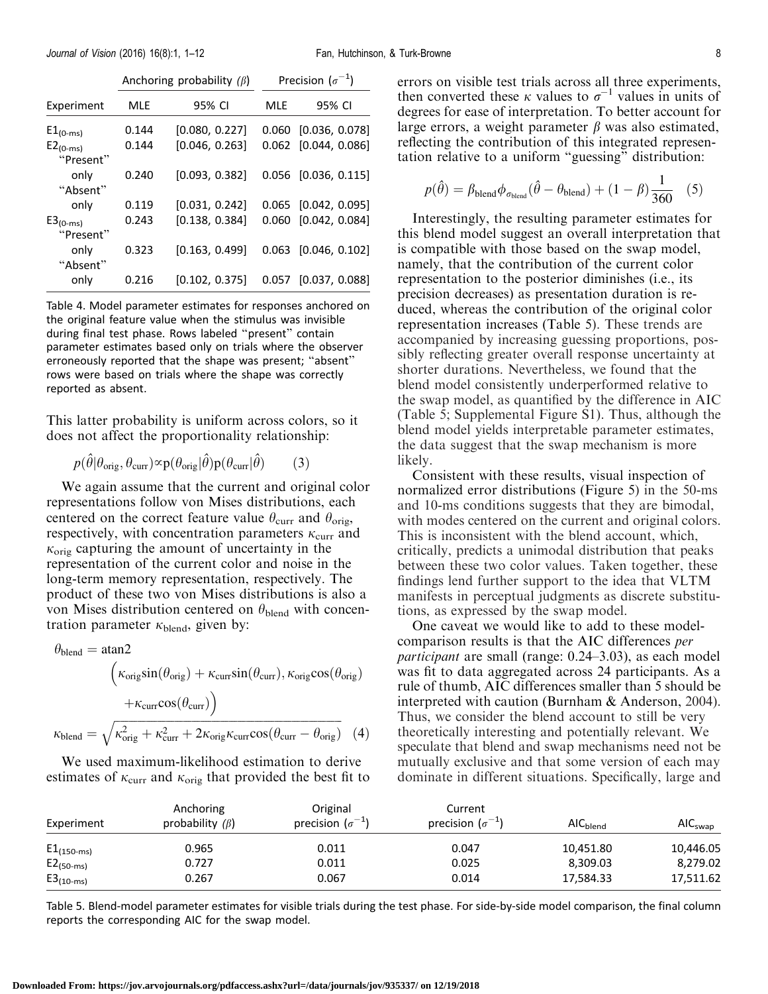<span id="page-7-0"></span>

|                                   |       | Anchoring probability $(\beta)$ | Precision $(\sigma^{-1})$ |                          |  |
|-----------------------------------|-------|---------------------------------|---------------------------|--------------------------|--|
| Experiment                        | MLE   | 95% CI                          | <b>MLE</b>                | 95% CI                   |  |
| $E1_{(0\text{-ms})}$              | 0.144 | [0.080, 0.227]                  | 0.060                     | [0.036, 0.078]           |  |
| $E2_{(0\text{-ms})}$<br>"Present" | 0.144 | [0.046, 0.263]                  |                           | $0.062$ [0.044, 0.086]   |  |
| only<br>"Absent"                  | 0.240 | [0.093, 0.382]                  |                           | $0.056$ [0.036, 0.115]   |  |
| only                              | 0.119 | [0.031, 0.242]                  |                           | $0.065$ [0.042, 0.095]   |  |
| $E3_{(0\text{-ms})}$<br>"Present" | 0.243 | [0.138, 0.384]                  |                           | $0.060$ $[0.042, 0.084]$ |  |
| only<br>"Absent"                  | 0.323 | [0.163, 0.499]                  | 0.063                     | [0.046, 0.102]           |  |
| only                              | 0.216 | [0.102, 0.375]                  |                           | $0.057$ [0.037, 0.088]   |  |

Table 4. Model parameter estimates for responses anchored on the original feature value when the stimulus was invisible during final test phase. Rows labeled ''present'' contain parameter estimates based only on trials where the observer erroneously reported that the shape was present; ''absent'' rows were based on trials where the shape was correctly reported as absent.

This latter probability is uniform across colors, so it does not affect the proportionality relationship:

$$
p(\hat{\theta}|\theta_{\text{orig}}, \theta_{\text{curr}}) \propto p(\theta_{\text{orig}}|\hat{\theta}) p(\theta_{\text{curr}}|\hat{\theta}) \tag{3}
$$

We again assume that the current and original color representations follow von Mises distributions, each centered on the correct feature value  $\theta_{\text{curr}}$  and  $\theta_{\text{orig}}$ , respectively, with concentration parameters  $\kappa_{\text{curr}}$  and  $\kappa_{\text{orig}}$  capturing the amount of uncertainty in the representation of the current color and noise in the long-term memory representation, respectively. The product of these two von Mises distributions is also a von Mises distribution centered on  $\theta_{\text{blend}}$  with concentration parameter  $\kappa_{\text{blend}}$ , given by:

$$
\theta_{\text{blend}} = \text{atan2} \qquad \qquad (\kappa_{\text{orig}} \sin(\theta_{\text{orig}}) + \kappa_{\text{curr}} \sin(\theta_{\text{curr}}), \kappa_{\text{orig}} \cos(\theta_{\text{orig}}) + \kappa_{\text{curr}} \cos(\theta_{\text{curr}}) \qquad \qquad
$$

$$
\kappa_{\text{blend}} = \sqrt{\kappa_{\text{orig}}^2 + \kappa_{\text{curr}}^2 + 2\kappa_{\text{orig}} \kappa_{\text{curr}} \cos(\theta_{\text{curr}} - \theta_{\text{orig}})} \quad (4)
$$

We used maximum-likelihood estimation to derive estimates of  $\kappa_{\text{curr}}$  and  $\kappa_{\text{orig}}$  that provided the best fit to errors on visible test trials across all three experiments, then converted these  $\kappa$  values to  $\sigma^{-1}$  values in units of degrees for ease of interpretation. To better account for large errors, a weight parameter  $\beta$  was also estimated, reflecting the contribution of this integrated representation relative to a uniform ''guessing'' distribution:

$$
p(\hat{\theta}) = \beta_{\text{blend}} \phi_{\sigma_{\text{blend}}}(\hat{\theta} - \theta_{\text{blend}}) + (1 - \beta) \frac{1}{360} \quad (5)
$$

Interestingly, the resulting parameter estimates for this blend model suggest an overall interpretation that is compatible with those based on the swap model, namely, that the contribution of the current color representation to the posterior diminishes (i.e., its precision decreases) as presentation duration is reduced, whereas the contribution of the original color representation increases (Table 5). These trends are accompanied by increasing guessing proportions, possibly reflecting greater overall response uncertainty at shorter durations. Nevertheless, we found that the blend model consistently underperformed relative to the swap model, as quantified by the difference in AIC (Table 5; [Supplemental Figure S1](http://jov.arvojournals.org/data/Journals/JOV/935337/i1534-7362-16-8-1-s01.docx)). Thus, although the blend model yields interpretable parameter estimates, the data suggest that the swap mechanism is more likely.

Consistent with these results, visual inspection of normalized error distributions [\(Figure 5](#page-8-0)) in the 50-ms and 10-ms conditions suggests that they are bimodal, with modes centered on the current and original colors. This is inconsistent with the blend account, which, critically, predicts a unimodal distribution that peaks between these two color values. Taken together, these findings lend further support to the idea that VLTM manifests in perceptual judgments as discrete substitutions, as expressed by the swap model.

One caveat we would like to add to these modelcomparison results is that the AIC differences per participant are small (range: 0.24–3.03), as each model was fit to data aggregated across 24 participants. As a rule of thumb, AIC differences smaller than 5 should be interpreted with caution (Burnham & Anderson, [2004](#page-10-0)). Thus, we consider the blend account to still be very theoretically interesting and potentially relevant. We speculate that blend and swap mechanisms need not be mutually exclusive and that some version of each may dominate in different situations. Specifically, large and

| Experiment             | Anchoring<br>probability $(\beta)$ | Original<br>precision $(\sigma^{-1})$ | Current<br>precision $(\sigma^{-1})$ | $AIC_{blend}$ | $AIC_{swap}$ |
|------------------------|------------------------------------|---------------------------------------|--------------------------------------|---------------|--------------|
| $E1_{(150\text{-ms})}$ | 0.965                              | 0.011                                 | 0.047                                | 10,451.80     | 10,446.05    |
| $E2_{(50\text{-}ms)}$  | 0.727                              | 0.011                                 | 0.025                                | 8,309.03      | 8,279.02     |
| $E3_{(10\text{-ms})}$  | 0.267                              | 0.067                                 | 0.014                                | 17,584.33     | 17,511.62    |

Table 5. Blend-model parameter estimates for visible trials during the test phase. For side-by-side model comparison, the final column reports the corresponding AIC for the swap model.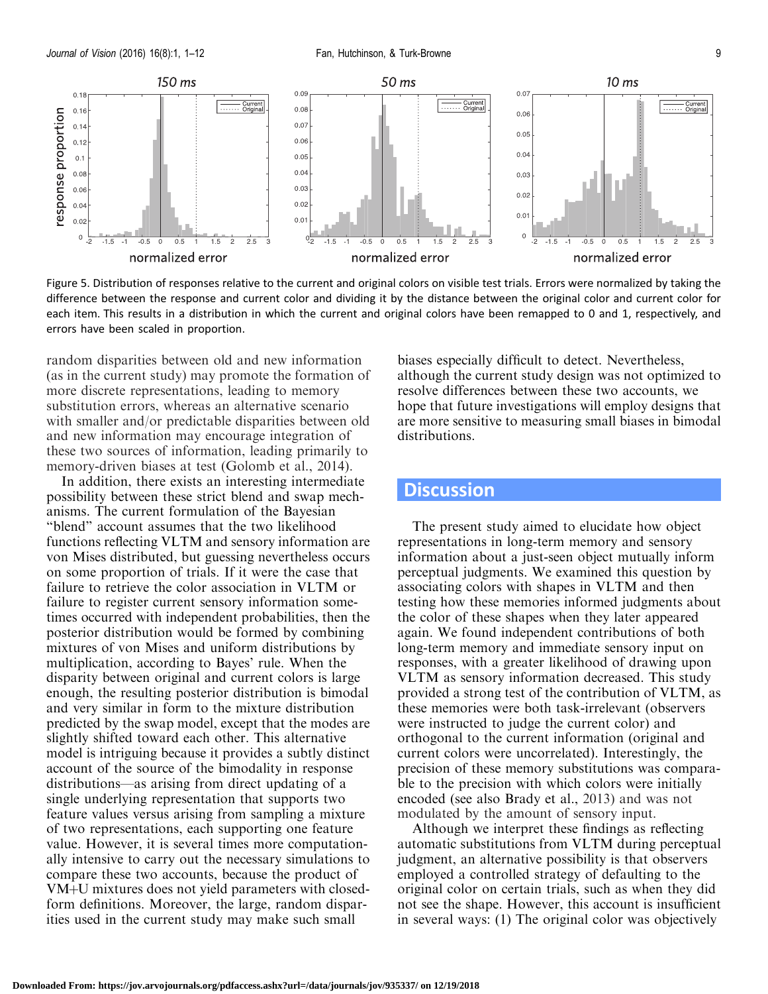<span id="page-8-0"></span>

Figure 5. Distribution of responses relative to the current and original colors on visible test trials. Errors were normalized by taking the difference between the response and current color and dividing it by the distance between the original color and current color for each item. This results in a distribution in which the current and original colors have been remapped to 0 and 1, respectively, and errors have been scaled in proportion.

random disparities between old and new information (as in the current study) may promote the formation of more discrete representations, leading to memory substitution errors, whereas an alternative scenario with smaller and/or predictable disparities between old and new information may encourage integration of these two sources of information, leading primarily to memory-driven biases at test (Golomb et al., [2014\)](#page-10-0).

In addition, there exists an interesting intermediate possibility between these strict blend and swap mechanisms. The current formulation of the Bayesian ''blend'' account assumes that the two likelihood functions reflecting VLTM and sensory information are von Mises distributed, but guessing nevertheless occurs on some proportion of trials. If it were the case that failure to retrieve the color association in VLTM or failure to register current sensory information sometimes occurred with independent probabilities, then the posterior distribution would be formed by combining mixtures of von Mises and uniform distributions by multiplication, according to Bayes' rule. When the disparity between original and current colors is large enough, the resulting posterior distribution is bimodal and very similar in form to the mixture distribution predicted by the swap model, except that the modes are slightly shifted toward each other. This alternative model is intriguing because it provides a subtly distinct account of the source of the bimodality in response distributions—as arising from direct updating of a single underlying representation that supports two feature values versus arising from sampling a mixture of two representations, each supporting one feature value. However, it is several times more computationally intensive to carry out the necessary simulations to compare these two accounts, because the product of VM+U mixtures does not yield parameters with closedform definitions. Moreover, the large, random disparities used in the current study may make such small

biases especially difficult to detect. Nevertheless, although the current study design was not optimized to resolve differences between these two accounts, we hope that future investigations will employ designs that are more sensitive to measuring small biases in bimodal distributions.

### **Discussion**

The present study aimed to elucidate how object representations in long-term memory and sensory information about a just-seen object mutually inform perceptual judgments. We examined this question by associating colors with shapes in VLTM and then testing how these memories informed judgments about the color of these shapes when they later appeared again. We found independent contributions of both long-term memory and immediate sensory input on responses, with a greater likelihood of drawing upon VLTM as sensory information decreased. This study provided a strong test of the contribution of VLTM, as these memories were both task-irrelevant (observers were instructed to judge the current color) and orthogonal to the current information (original and current colors were uncorrelated). Interestingly, the precision of these memory substitutions was comparable to the precision with which colors were initially encoded (see also Brady et al., [2013\)](#page-10-0) and was not modulated by the amount of sensory input.

Although we interpret these findings as reflecting automatic substitutions from VLTM during perceptual judgment, an alternative possibility is that observers employed a controlled strategy of defaulting to the original color on certain trials, such as when they did not see the shape. However, this account is insufficient in several ways: (1) The original color was objectively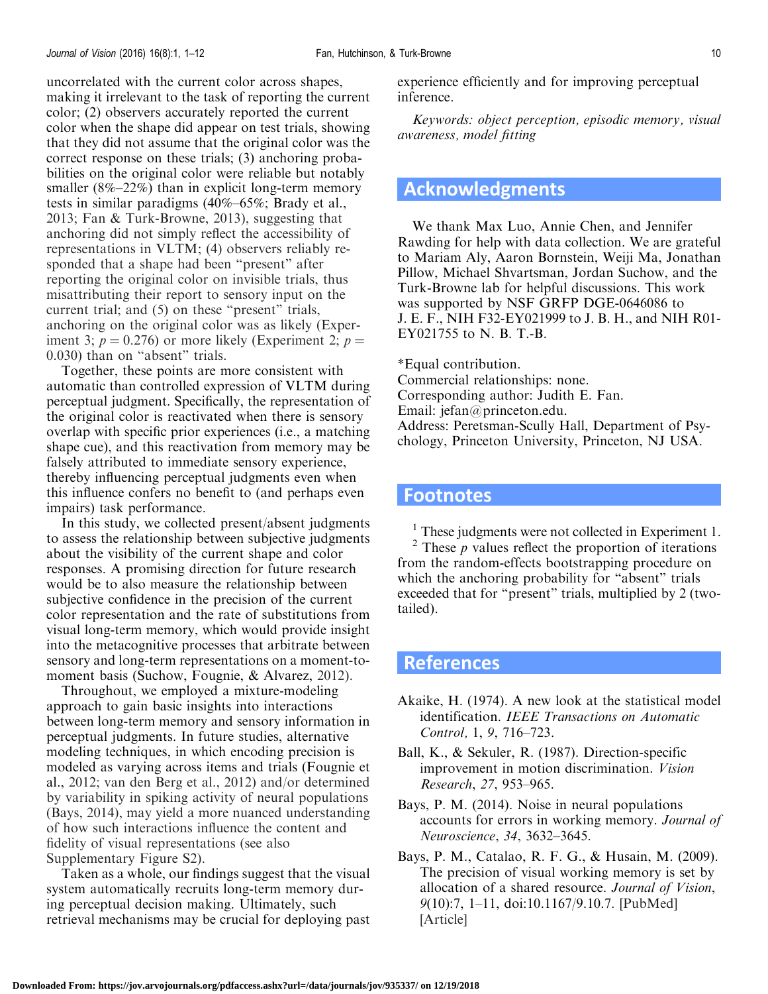<span id="page-9-0"></span>uncorrelated with the current color across shapes, making it irrelevant to the task of reporting the current color; (2) observers accurately reported the current color when the shape did appear on test trials, showing that they did not assume that the original color was the correct response on these trials; (3) anchoring probabilities on the original color were reliable but notably smaller (8%–22%) than in explicit long-term memory tests in similar paradigms (40%–65%; Brady et al., [2013;](#page-10-0) Fan & Turk-Browne, [2013](#page-10-0)), suggesting that anchoring did not simply reflect the accessibility of representations in VLTM; (4) observers reliably responded that a shape had been ''present'' after reporting the original color on invisible trials, thus misattributing their report to sensory input on the current trial; and (5) on these ''present'' trials, anchoring on the original color was as likely (Experiment 3;  $p = 0.276$ ) or more likely (Experiment 2;  $p =$ 0.030) than on ''absent'' trials.

Together, these points are more consistent with automatic than controlled expression of VLTM during perceptual judgment. Specifically, the representation of the original color is reactivated when there is sensory overlap with specific prior experiences (i.e., a matching shape cue), and this reactivation from memory may be falsely attributed to immediate sensory experience, thereby influencing perceptual judgments even when this influence confers no benefit to (and perhaps even impairs) task performance.

In this study, we collected present/absent judgments to assess the relationship between subjective judgments about the visibility of the current shape and color responses. A promising direction for future research would be to also measure the relationship between subjective confidence in the precision of the current color representation and the rate of substitutions from visual long-term memory, which would provide insight into the metacognitive processes that arbitrate between sensory and long-term representations on a moment-to-moment basis (Suchow, Fougnie, & Alvarez, [2012\)](#page-10-0).

Throughout, we employed a mixture-modeling approach to gain basic insights into interactions between long-term memory and sensory information in perceptual judgments. In future studies, alternative modeling techniques, in which encoding precision is modeled as varying across items and trials (Fougnie et al., [2012;](#page-10-0) van den Berg et al., [2012\)](#page-10-0) and/or determined by variability in spiking activity of neural populations (Bays, 2014), may yield a more nuanced understanding of how such interactions influence the content and fidelity of visual representations (see also [Supplementary Figure S2](http://jov.arvojournals.org/data/Journals/JOV/935337/i1534-7362-16-8-1-s01.docx)).

Taken as a whole, our findings suggest that the visual system automatically recruits long-term memory during perceptual decision making. Ultimately, such retrieval mechanisms may be crucial for deploying past experience efficiently and for improving perceptual inference.

Keywords: object perception, episodic memory, visual awareness, model fitting

## Acknowledgments

We thank Max Luo, Annie Chen, and Jennifer Rawding for help with data collection. We are grateful to Mariam Aly, Aaron Bornstein, Weiji Ma, Jonathan Pillow, Michael Shvartsman, Jordan Suchow, and the Turk-Browne lab for helpful discussions. This work was supported by NSF GRFP DGE-0646086 to J. E. F., NIH F32-EY021999 to J. B. H., and NIH R01- EY021755 to N. B. T.-B.

\*Equal contribution. Commercial relationships: none. Corresponding author: Judith E. Fan. Email: jefan@princeton.edu. Address: Peretsman-Scully Hall, Department of Psychology, Princeton University, Princeton, NJ USA.

### **Footnotes**

<sup>1</sup> These judgments were not collected in Experiment 1.  $2$  These  $p$  values reflect the proportion of iterations from the random-effects bootstrapping procedure on which the anchoring probability for "absent" trials exceeded that for "present" trials, multiplied by 2 (twotailed).

#### References

- Akaike, H. (1974). A new look at the statistical model identification. IEEE Transactions on Automatic Control, 1, 9, 716–723.
- Ball, K., & Sekuler, R. (1987). Direction-specific improvement in motion discrimination. Vision Research, 27, 953–965.
- Bays, P. M. (2014). Noise in neural populations accounts for errors in working memory. Journal of Neuroscience, 34, 3632–3645.
- Bays, P. M., Catalao, R. F. G., & Husain, M. (2009). The precision of visual working memory is set by allocation of a shared resource. Journal of Vision, 9(10):7, 1–11, doi:10.1167/9.10.7. [\[PubMed](http://www.ncbi.nlm.nih.gov/pubmed/19810788)] [[Article\]](http://jov.arvojournals.org/article.aspx?articleid=2122354)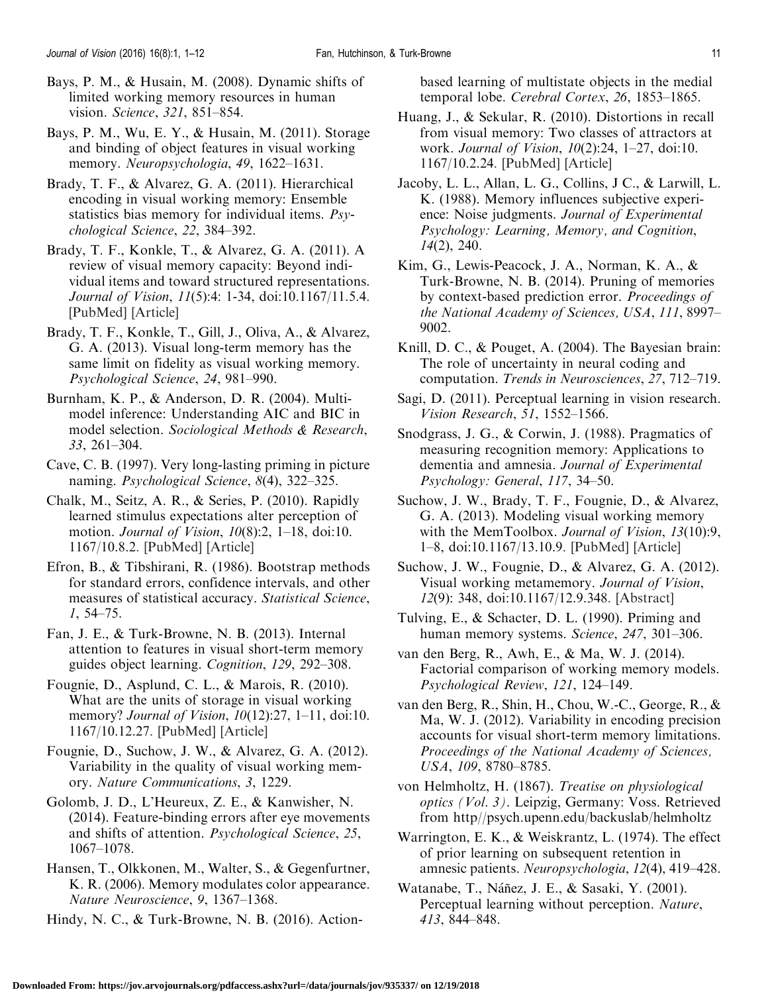- <span id="page-10-0"></span>Bays, P. M., & Husain, M. (2008). Dynamic shifts of limited working memory resources in human vision. Science, 321, 851–854.
- Bays, P. M., Wu, E. Y., & Husain, M. (2011). Storage and binding of object features in visual working memory. Neuropsychologia, 49, 1622-1631.
- Brady, T. F., & Alvarez, G. A. (2011). Hierarchical encoding in visual working memory: Ensemble statistics bias memory for individual items. Psychological Science, 22, 384–392.
- Brady, T. F., Konkle, T., & Alvarez, G. A. (2011). A review of visual memory capacity: Beyond individual items and toward structured representations. Journal of Vision, 11(5):4: 1-34, doi:10.1167/11.5.4. [[PubMed](http://www.ncbi.nlm.nih.gov/pubmed/21617025)] [[Article\]](http://jov.arvojournals.org/article.aspx?articleid=2191865)
- Brady, T. F., Konkle, T., Gill, J., Oliva, A., & Alvarez, G. A. (2013). Visual long-term memory has the same limit on fidelity as visual working memory. Psychological Science, 24, 981–990.
- Burnham, K. P., & Anderson, D. R. (2004). Multimodel inference: Understanding AIC and BIC in model selection. Sociological Methods & Research, 33, 261–304.
- Cave, C. B. (1997). Very long-lasting priming in picture naming. Psychological Science, 8(4), 322-325.
- Chalk, M., Seitz, A. R., & Series, P. (2010). Rapidly learned stimulus expectations alter perception of motion. Journal of Vision, 10(8):2, 1–18, doi:10. 1167/10.8.2. [[PubMed](http://www.ncbi.nlm.nih.gov/pubmed/20884577)] [[Article\]](http://jov.arvojournals.org/article.aspx?articleid=2191633)
- Efron, B., & Tibshirani, R. (1986). Bootstrap methods for standard errors, confidence intervals, and other measures of statistical accuracy. Statistical Science, 1, 54–75.
- Fan, J. E., & Turk-Browne, N. B. (2013). Internal attention to features in visual short-term memory guides object learning. Cognition, 129, 292–308.
- Fougnie, D., Asplund, C. L., & Marois, R. (2010). What are the units of storage in visual working memory? *Journal of Vision, 10*(12):27, 1–11, doi:10. 1167/10.12.27. [[PubMed](http://www.ncbi.nlm.nih.gov/pubmed/21047759)] [[Article\]](http://jov.arvojournals.org/article.aspx?articleid=2191840)
- Fougnie, D., Suchow, J. W., & Alvarez, G. A. (2012). Variability in the quality of visual working memory. Nature Communications, 3, 1229.
- Golomb, J. D., L'Heureux, Z. E., & Kanwisher, N. (2014). Feature-binding errors after eye movements and shifts of attention. Psychological Science, 25, 1067–1078.
- Hansen, T., Olkkonen, M., Walter, S., & Gegenfurtner, K. R. (2006). Memory modulates color appearance. Nature Neuroscience, 9, 1367–1368.
- Hindy, N. C., & Turk-Browne, N. B. (2016). Action-

based learning of multistate objects in the medial temporal lobe. Cerebral Cortex, 26, 1853–1865.

- Huang, J., & Sekular, R. (2010). Distortions in recall from visual memory: Two classes of attractors at work. Journal of Vision, 10(2):24, 1–27, doi:10. 1167/10.2.24. [\[PubMed\]](http://www.ncbi.nlm.nih.gov/pubmed/20462325) [\[Article](http://jov.arvojournals.org/article.aspx?articleid=2121212)]
- Jacoby, L. L., Allan, L. G., Collins, J C., & Larwill, L. K. (1988). Memory influences subjective experience: Noise judgments. Journal of Experimental Psychology: Learning, Memory, and Cognition, 14(2), 240.
- Kim, G., Lewis-Peacock, J. A., Norman, K. A., & Turk-Browne, N. B. (2014). Pruning of memories by context-based prediction error. Proceedings of the National Academy of Sciences, USA, 111, 8997– 9002.
- Knill, D. C., & Pouget, A. (2004). The Bayesian brain: The role of uncertainty in neural coding and computation. Trends in Neurosciences, 27, 712–719.
- Sagi, D. (2011). Perceptual learning in vision research. Vision Research, 51, 1552–1566.
- Snodgrass, J. G., & Corwin, J. (1988). Pragmatics of measuring recognition memory: Applications to dementia and amnesia. Journal of Experimental Psychology: General, 117, 34–50.
- Suchow, J. W., Brady, T. F., Fougnie, D., & Alvarez, G. A. (2013). Modeling visual working memory with the MemToolbox. Journal of Vision, 13(10):9, 1–8, doi:10.1167/13.10.9. [\[PubMed\]](http://www.ncbi.nlm.nih.gov/pubmed/23962734) [\[Article\]](http://jov.arvojournals.org/article.aspx?articleid=2121492)
- Suchow, J. W., Fougnie, D., & Alvarez, G. A. (2012). Visual working metamemory. Journal of Vision, 12(9): 348, doi:10.1167/12.9.348. [\[Abstract\]](http://jov.arvojournals.org/article.aspx?articleid=2140995&resultClick=1)
- Tulving, E., & Schacter, D. L. (1990). Priming and human memory systems. Science, 247, 301-306.
- van den Berg, R., Awh, E., & Ma, W. J. (2014). Factorial comparison of working memory models. Psychological Review, 121, 124–149.
- van den Berg, R., Shin, H., Chou, W.-C., George, R., & Ma, W. J. (2012). Variability in encoding precision accounts for visual short-term memory limitations. Proceedings of the National Academy of Sciences, USA, 109, 8780–8785.
- von Helmholtz, H. (1867). Treatise on physiological optics (Vol. 3). Leipzig, Germany: Voss. Retrieved from http//psych.upenn.edu/backuslab/helmholtz
- Warrington, E. K., & Weiskrantz, L. (1974). The effect of prior learning on subsequent retention in amnesic patients. Neuropsychologia, 12(4), 419–428.
- Watanabe, T., Náñez, J. E., & Sasaki, Y. (2001). Perceptual learning without perception. Nature, 413, 844–848.